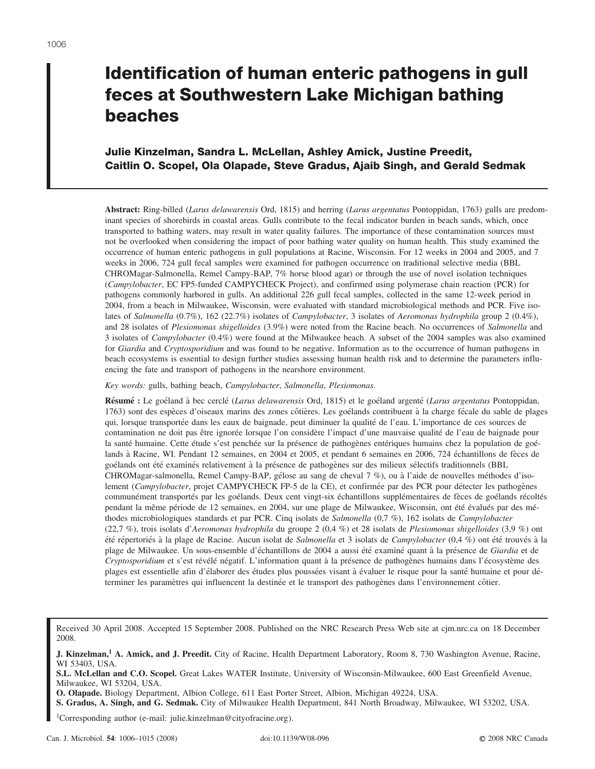# **Identification of human enteric pathogens in gull feces at Southwestern Lake Michigan bathing beaches**

## **Julie Kinzelman, Sandra L. McLellan, Ashley Amick, Justine Preedit, Caitlin O. Scopel, Ola Olapade, Steve Gradus, Ajaib Singh, and Gerald Sedmak**

**Abstract:** Ring-billed (*Larus delawarensis* Ord, 1815) and herring (*Larus argentatus* Pontoppidan, 1763) gulls are predominant species of shorebirds in coastal areas. Gulls contribute to the fecal indicator burden in beach sands, which, once transported to bathing waters, may result in water quality failures. The importance of these contamination sources must not be overlooked when considering the impact of poor bathing water quality on human health. This study examined the occurrence of human enteric pathogens in gull populations at Racine, Wisconsin. For 12 weeks in 2004 and 2005, and 7 weeks in 2006, 724 gull fecal samples were examined for pathogen occurrence on traditional selective media (BBL CHROMagar-Salmonella, Remel Campy-BAP, 7% horse blood agar) or through the use of novel isolation techniques (*Campylobacter*, EC FP5-funded CAMPYCHECK Project), and confirmed using polymerase chain reaction (PCR) for pathogens commonly harbored in gulls. An additional 226 gull fecal samples, collected in the same 12-week period in 2004, from a beach in Milwaukee, Wisconsin, were evaluated with standard microbiological methods and PCR. Five isolates of *Salmonella* (0.7%), 162 (22.7%) isolates of *Campylobacter*, 3 isolates of *Aeromonas hydrophila* group 2 (0.4%), and 28 isolates of *Plesiomonas shigelloides* (3.9%) were noted from the Racine beach. No occurrences of *Salmonella* and 3 isolates of *Campylobacter* (0.4%) were found at the Milwaukee beach. A subset of the 2004 samples was also examined for *Giardia* and *Cryptosporidium* and was found to be negative. Information as to the occurrence of human pathogens in beach ecosystems is essential to design further studies assessing human health risk and to determine the parameters influencing the fate and transport of pathogens in the nearshore environment.

*Key words:* gulls, bathing beach, *Campylobacter*, *Salmonella*, *Plesiomonas*.

Résumé : Le goéland à bec cerclé (*Larus delawarensis* Ord, 1815) et le goéland argenté (*Larus argentatus* Pontoppidan, 1763) sont des espèces d'oiseaux marins des zones côtières. Les goélands contribuent à la charge fécale du sable de plages qui, lorsque transportée dans les eaux de baignade, peut diminuer la qualité de l'eau. L'importance de ces sources de contamination ne doit pas être ignorée lorsque l'on considère l'impact d'une mauvaise qualité de l'eau de baignade pour la santé humaine. Cette étude s'est penchée sur la présence de pathogènes entériques humains chez la population de goélands à Racine, WI. Pendant 12 semaines, en 2004 et 2005, et pendant 6 semaines en 2006, 724 échantillons de fèces de goélands ont été examinés relativement à la présence de pathogènes sur des milieux sélectifs traditionnels (BBL CHROMagar-salmonella, Remel Campy-BAP, gélose au sang de cheval 7 %), ou à l'aide de nouvelles méthodes d'isolement (*Campylobacter*, projet CAMPYCHECK FP-5 de la CE), et confirmée par des PCR pour détecter les pathogènes communément transportés par les goélands. Deux cent vingt-six échantillons supplémentaires de fèces de goélands récoltés pendant la même période de 12 semaines, en 2004, sur une plage de Milwaukee, Wisconsin, ont été évalués par des méthodes microbiologiques standards et par PCR. Cinq isolats de *Salmonella* (0,7 %), 162 isolats de *Campylobacter* (22,7 %), trois isolats d'*Aeromonas hydrophila* du groupe 2 (0,4 %) et 28 isolats de *Plesiomonas shigelloides* (3,9 %) ont été répertoriés à la plage de Racine. Aucun isolat de *Salmonella* et 3 isolats de *Campylobacter* (0,4 %) ont été trouvés à la plage de Milwaukee. Un sous-ensemble d'échantillons de 2004 a aussi été examiné quant à la présence de *Giardia* et de *Cryptosporidium* et s'est révélé négatif. L'information quant à la présence de pathogènes humains dans l'écosystème des plages est essentielle afin d'élaborer des études plus poussées visant à évaluer le risque pour la santé humaine et pour déterminer les paramètres qui influencent la destinée et le transport des pathogènes dans l'environnement côtier.

1Corresponding author (e-mail: julie.kinzelman@cityofracine.org).

Received 30 April 2008. Accepted 15 September 2008. Published on the NRC Research Press Web site at cjm.nrc.ca on 18 December 2008.

**J. Kinzelman,<sup>1</sup> A. Amick, and J. Preedit.** City of Racine, Health Department Laboratory, Room 8, 730 Washington Avenue, Racine, WI 53403, USA.

**S.L. McLellan and C.O. Scopel.** Great Lakes WATER Institute, University of Wisconsin-Milwaukee, 600 East Greenfield Avenue, Milwaukee, WI 53204, USA.

**O. Olapade.** Biology Department, Albion College, 611 East Porter Street, Albion, Michigan 49224, USA.

**S. Gradus, A. Singh, and G. Sedmak.** City of Milwaukee Health Department, 841 North Broadway, Milwaukee, WI 53202, USA.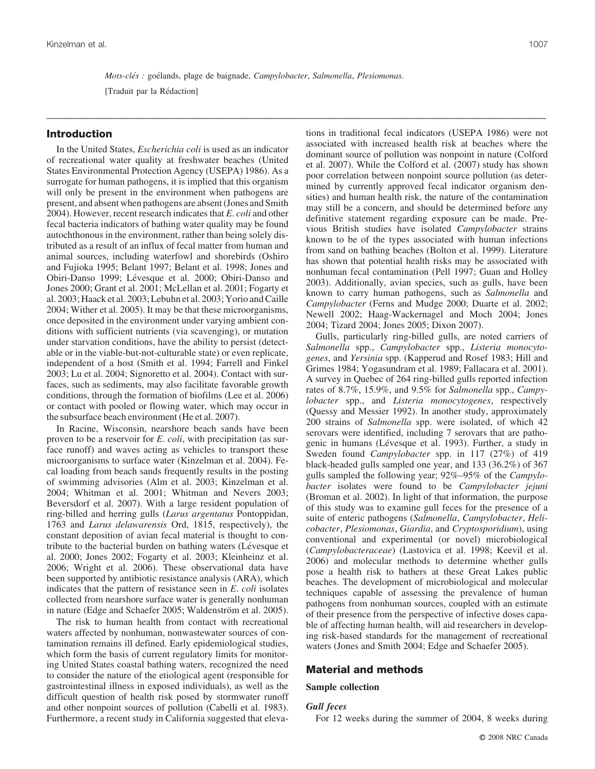*Mots-clés : goélands, plage de baignade, Campylobacter, Salmonella, Plesiomonas.* 

\_\_\_\_\_\_\_\_\_\_\_\_\_\_\_\_\_\_\_\_\_\_\_\_\_\_\_\_\_\_\_\_\_\_\_\_\_\_\_\_\_\_\_\_\_\_\_\_\_\_\_\_\_\_\_\_\_\_\_\_\_\_\_\_\_\_\_\_\_\_\_\_\_\_\_\_\_\_\_\_\_\_\_\_\_\_

[Traduit par la Rédaction]

## **Introduction**

In the United States, *Escherichia coli* is used as an indicator of recreational water quality at freshwater beaches (United States Environmental Protection Agency (USEPA) 1986). As a surrogate for human pathogens, it is implied that this organism will only be present in the environment when pathogens are present, and absent when pathogens are absent (Jones and Smith 2004). However, recent research indicates that *E*. *coli* and other fecal bacteria indicators of bathing water quality may be found autochthonous in the environment, rather than being solely distributed as a result of an influx of fecal matter from human and animal sources, including waterfowl and shorebirds (Oshiro and Fujioka 1995; Belant 1997; Belant et al. 1998; Jones and Obiri-Danso 1999; Lévesque et al. 2000; Obiri-Danso and Jones 2000; Grant et al. 2001; McLellan et al. 2001; Fogarty et al. 2003; Haack et al. 2003; Lebuhn et al. 2003; Yorio and Caille 2004; Wither et al. 2005). It may be that these microorganisms, once deposited in the environment under varying ambient conditions with sufficient nutrients (via scavenging), or mutation under starvation conditions, have the ability to persist (detectable or in the viable-but-not-culturable state) or even replicate, independent of a host (Smith et al. 1994; Farrell and Finkel 2003; Lu et al. 2004; Signoretto et al. 2004). Contact with surfaces, such as sediments, may also facilitate favorable growth conditions, through the formation of biofilms (Lee et al. 2006) or contact with pooled or flowing water, which may occur in the subsurface beach environment (He et al. 2007).

In Racine, Wisconsin, nearshore beach sands have been proven to be a reservoir for *E*. *coli*, with precipitation (as surface runoff) and waves acting as vehicles to transport these microorganisms to surface water (Kinzelman et al. 2004). Fecal loading from beach sands frequently results in the posting of swimming advisories (Alm et al. 2003; Kinzelman et al. 2004; Whitman et al. 2001; Whitman and Nevers 2003; Beversdorf et al. 2007). With a large resident population of ring-billed and herring gulls (*Larus argentatus* Pontoppidan, 1763 and *Larus delawarensis* Ord, 1815, respectively), the constant deposition of avian fecal material is thought to contribute to the bacterial burden on bathing waters (Lévesque et al. 2000; Jones 2002; Fogarty et al. 2003; Kleinheinz et al. 2006; Wright et al. 2006). These observational data have been supported by antibiotic resistance analysis (ARA), which indicates that the pattern of resistance seen in *E*. *coli* isolates collected from nearshore surface water is generally nonhuman in nature (Edge and Schaefer 2005; Waldenström et al. 2005).

The risk to human health from contact with recreational waters affected by nonhuman, nonwastewater sources of contamination remains ill defined. Early epidemiological studies, which form the basis of current regulatory limits for monitoring United States coastal bathing waters, recognized the need to consider the nature of the etiological agent (responsible for gastrointestinal illness in exposed individuals), as well as the difficult question of health risk posed by stormwater runoff and other nonpoint sources of pollution (Cabelli et al. 1983). Furthermore, a recent study in California suggested that elevations in traditional fecal indicators (USEPA 1986) were not associated with increased health risk at beaches where the dominant source of pollution was nonpoint in nature (Colford et al. 2007). While the Colford et al. (2007) study has shown poor correlation between nonpoint source pollution (as determined by currently approved fecal indicator organism densities) and human health risk, the nature of the contamination may still be a concern, and should be determined before any definitive statement regarding exposure can be made. Previous British studies have isolated *Campylobacter* strains known to be of the types associated with human infections from sand on bathing beaches (Bolton et al. 1999). Literature has shown that potential health risks may be associated with nonhuman fecal contamination (Pell 1997; Guan and Holley 2003). Additionally, avian species, such as gulls, have been known to carry human pathogens, such as *Salmonella* and *Campylobacter* (Ferns and Mudge 2000; Duarte et al. 2002; Newell 2002; Haag-Wackernagel and Moch 2004; Jones 2004; Tizard 2004; Jones 2005; Dixon 2007).

Gulls, particularly ring-billed gulls, are noted carriers of *Salmonella* spp., *Campylobacter* spp., *Listeria monocytogenes*, and *Yersinia* spp. (Kapperud and Rosef 1983; Hill and Grimes 1984; Yogasundram et al. 1989; Fallacara et al. 2001). A survey in Quebec of 264 ring-billed gulls reported infection rates of 8.7%, 15.9%, and 9.5% for *Salmonella* spp., *Campylobacter* spp., and *Listeria monocytogenes*, respectively (Quessy and Messier 1992). In another study, approximately 200 strains of *Salmonella* spp. were isolated, of which 42 serovars were identified, including 7 serovars that are pathogenic in humans (Lévesque et al. 1993). Further, a study in Sweden found *Campylobacter* spp. in 117 (27%) of 419 black-headed gulls sampled one year, and 133 (36.2%) of 367 gulls sampled the following year; 92%–95% of the *Campylobacter* isolates were found to be *Campylobacter jejuni* (Broman et al. 2002). In light of that information, the purpose of this study was to examine gull feces for the presence of a suite of enteric pathogens (*Salmonella*, *Campylobacter*, *Helicobacter*, *Plesiomonas*, *Giardia*, and *Cryptosporidium*), using conventional and experimental (or novel) microbiological (*Campylobacteraceae*) (Lastovica et al. 1998; Keevil et al. 2006) and molecular methods to determine whether gulls pose a health risk to bathers at these Great Lakes public beaches. The development of microbiological and molecular techniques capable of assessing the prevalence of human pathogens from nonhuman sources, coupled with an estimate of their presence from the perspective of infective doses capable of affecting human health, will aid researchers in developing risk-based standards for the management of recreational waters (Jones and Smith 2004; Edge and Schaefer 2005).

#### **Material and methods**

#### **Sample collection**

#### *Gull feces*

For 12 weeks during the summer of 2004, 8 weeks during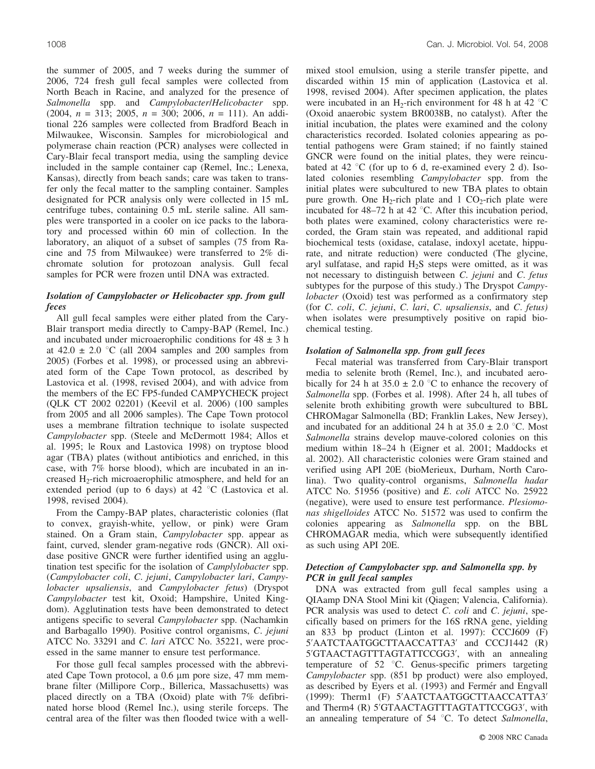the summer of 2005, and 7 weeks during the summer of 2006, 724 fresh gull fecal samples were collected from North Beach in Racine, and analyzed for the presence of *Salmonella* spp. and *Campylobacter*/*Helicobacter* spp. (2004, *n* = 313; 2005, *n* = 300; 2006, *n* = 111). An additional 226 samples were collected from Bradford Beach in Milwaukee, Wisconsin. Samples for microbiological and polymerase chain reaction (PCR) analyses were collected in Cary-Blair fecal transport media, using the sampling device included in the sample container cap (Remel, Inc.; Lenexa, Kansas), directly from beach sands; care was taken to transfer only the fecal matter to the sampling container. Samples designated for PCR analysis only were collected in 15 mL centrifuge tubes, containing 0.5 mL sterile saline. All samples were transported in a cooler on ice packs to the laboratory and processed within 60 min of collection. In the laboratory, an aliquot of a subset of samples (75 from Racine and 75 from Milwaukee) were transferred to 2% dichromate solution for protozoan analysis. Gull fecal samples for PCR were frozen until DNA was extracted.

#### *Isolation of Campylobacter or Helicobacter spp. from gull feces*

All gull fecal samples were either plated from the Cary-Blair transport media directly to Campy-BAP (Remel, Inc.) and incubated under microaerophilic conditions for  $48 \pm 3$  h at  $42.0 \pm 2.0$  °C (all 2004 samples and 200 samples from 2005) (Forbes et al. 1998), or processed using an abbreviated form of the Cape Town protocol, as described by Lastovica et al. (1998, revised 2004), and with advice from the members of the EC FP5-funded CAMPYCHECK project (QLK CT 2002 02201) (Keevil et al. 2006) (100 samples from 2005 and all 2006 samples). The Cape Town protocol uses a membrane filtration technique to isolate suspected *Campylobacter* spp. (Steele and McDermott 1984; Allos et al. 1995; le Roux and Lastovica 1998) on tryptose blood agar (TBA) plates (without antibiotics and enriched, in this case, with 7% horse blood), which are incubated in an increased H<sub>2</sub>-rich microaerophilic atmosphere, and held for an extended period (up to 6 days) at 42  $\degree$ C (Lastovica et al. 1998, revised 2004).

From the Campy-BAP plates, characteristic colonies (flat to convex, grayish-white, yellow, or pink) were Gram stained. On a Gram stain, *Campylobacter* spp. appear as faint, curved, slender gram-negative rods (GNCR). All oxidase positive GNCR were further identified using an agglutination test specific for the isolation of *Camplylobacter* spp. (*Campylobacter coli*, *C*. *jejuni*, *Campylobacter lari*, *Campylobacter upsaliensis*, and *Campylobacter fetus*) (Dryspot *Campylobacter* test kit, Oxoid; Hampshire, United Kingdom). Agglutination tests have been demonstrated to detect antigens specific to several *Campylobacter* spp. (Nachamkin and Barbagallo 1990). Positive control organisms, *C*. *jejuni* ATCC No. 33291 and *C*. *lari* ATCC No. 35221, were processed in the same manner to ensure test performance.

For those gull fecal samples processed with the abbreviated Cape Town protocol, a 0.6  $\mu$ m pore size, 47 mm membrane filter (Millipore Corp., Billerica, Massachusetts) was placed directly on a TBA (Oxoid) plate with 7% defibrinated horse blood (Remel Inc.), using sterile forceps. The central area of the filter was then flooded twice with a wellmixed stool emulsion, using a sterile transfer pipette, and discarded within 15 min of application (Lastovica et al. 1998, revised 2004). After specimen application, the plates were incubated in an H<sub>2</sub>-rich environment for 48 h at 42  $\degree$ C (Oxoid anaerobic system BR0038B, no catalyst). After the initial incubation, the plates were examined and the colony characteristics recorded. Isolated colonies appearing as potential pathogens were Gram stained; if no faintly stained GNCR were found on the initial plates, they were reincubated at 42  $\degree$ C (for up to 6 d, re-examined every 2 d). Isolated colonies resembling *Campylobacter* spp. from the initial plates were subcultured to new TBA plates to obtain pure growth. One  $H_2$ -rich plate and 1 CO<sub>2</sub>-rich plate were incubated for  $48-72$  h at  $42 °C$ . After this incubation period, both plates were examined, colony characteristics were recorded, the Gram stain was repeated, and additional rapid biochemical tests (oxidase, catalase, indoxyl acetate, hippurate, and nitrate reduction) were conducted (The glycine, aryl sulfatase, and rapid H2S steps were omitted, as it was not necessary to distinguish between *C*. *jejuni* and *C*. *fetus* subtypes for the purpose of this study.) The Dryspot *Campylobacter* (Oxoid) test was performed as a confirmatory step (for *C*. *coli*, *C*. *jejuni*, *C*. *lari*, *C*. *upsaliensis*, and *C*. *fetus)* when isolates were presumptively positive on rapid biochemical testing.

#### *Isolation of Salmonella spp. from gull feces*

Fecal material was transferred from Cary-Blair transport media to selenite broth (Remel, Inc.), and incubated aerobically for 24 h at  $35.0 \pm 2.0$  °C to enhance the recovery of *Salmonella* spp. (Forbes et al. 1998). After 24 h, all tubes of selenite broth exhibiting growth were subcultured to BBL CHROMagar Salmonella (BD; Franklin Lakes, New Jersey), and incubated for an additional 24 h at  $35.0 \pm 2.0$  °C. Most *Salmonella* strains develop mauve-colored colonies on this medium within 18–24 h (Eigner et al. 2001; Maddocks et al. 2002). All characteristic colonies were Gram stained and verified using API 20E (bioMerieux, Durham, North Carolina). Two quality-control organisms, *Salmonella hadar* ATCC No. 51956 (positive) and *E*. *coli* ATCC No. 25922 (negative), were used to ensure test performance. *Plesiomonas shigelloides* ATCC No. 51572 was used to confirm the colonies appearing as *Salmonella* spp. on the BBL CHROMAGAR media, which were subsequently identified as such using API 20E.

#### *Detection of Campylobacter spp. and Salmonella spp. by PCR in gull fecal samples*

DNA was extracted from gull fecal samples using a QIAamp DNA Stool Mini kit (Qiagen; Valencia, California). PCR analysis was used to detect *C*. *coli* and *C*. *jejuni*, specifically based on primers for the 16S rRNA gene, yielding an 833 bp product (Linton et al. 1997): CCCJ609 (F) 5'AATCTAATGGCTTAACCATTA3' and CCCJ1442 (R) 5'GTAACTAGTTTAGTATTCCGG3', with an annealing temperature of  $52 \text{ °C}$ . Genus-specific primers targeting *Campylobacter* spp. (851 bp product) were also employed, as described by Eyers et al. (1993) and Fermér and Engvall (1999): Therm1 (F) 5'AATCTAATGGCTTAACCATTA3' and Therm4 (R) 5'GTAACTAGTTTAGTATTCCGG3', with an annealing temperature of 54 °C. To detect *Salmonella*,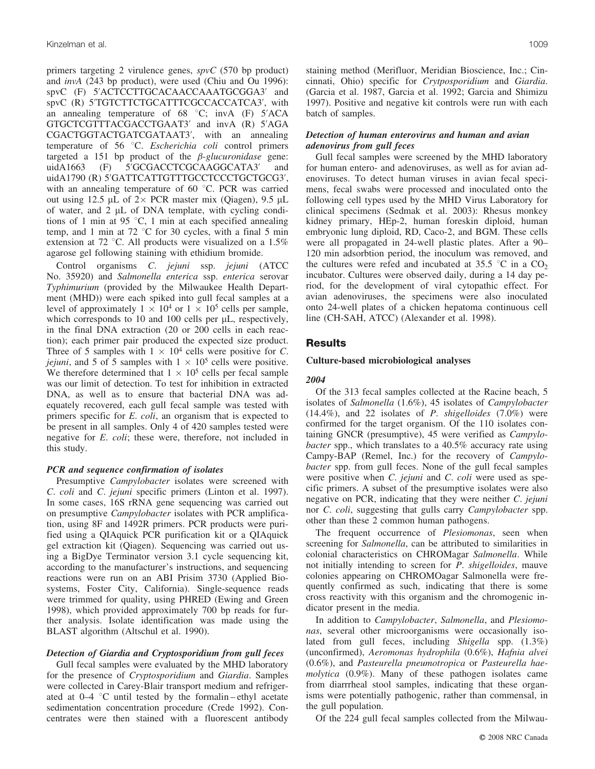primers targeting 2 virulence genes, *spvC* (570 bp product) and *invA* (243 bp product), were used (Chiu and Ou 1996): spvC (F) 5'ACTCCTTGCACAACCAAATGCGGA3' and spvC (R) 5'TGTCTTCTGCATTTCGCCACCATCA3', with an annealing temperature of  $68^\circ$ C; invA (F)  $5'ACA$ GTGCTCGTTTACGACCTGAAT3' and invA (R) 5'AGA CGACTGGTACTGATCGATAAT3', with an annealing temperature of 56 °C. *Escherichia coli* control primers targeted a 151 bp product of the *b-glucuronidase* gene: uidA1663 (F) 5'GCGACCTCGCAAGGCATA3' and uidA1790 (R) 5'GATTCATTGTTTGCCTCCCTGCTGCG3', with an annealing temperature of 60  $\degree$ C. PCR was carried out using 12.5  $\mu$ L of 2× PCR master mix (Qiagen), 9.5  $\mu$ L of water, and  $2 \mu L$  of DNA template, with cycling conditions of 1 min at 95  $\degree$ C, 1 min at each specified annealing temp, and 1 min at 72  $\degree$ C for 30 cycles, with a final 5 min extension at 72 °C. All products were visualized on a  $1.5\%$ agarose gel following staining with ethidium bromide.

Control organisms *C*. *jejuni* ssp. *jejuni* (ATCC No. 35920) and *Salmonella enterica* ssp. *enterica* serovar *Typhimurium* (provided by the Milwaukee Health Department (MHD)) were each spiked into gull fecal samples at a level of approximately  $1 \times 10^4$  or  $1 \times 10^5$  cells per sample, which corresponds to  $10$  and  $100$  cells per  $\mu$ L, respectively, in the final DNA extraction (20 or 200 cells in each reaction); each primer pair produced the expected size product. Three of 5 samples with  $1 \times 10^4$  cells were positive for *C*. *jejuni*, and 5 of 5 samples with  $1 \times 10^5$  cells were positive. We therefore determined that  $1 \times 10^5$  cells per fecal sample was our limit of detection. To test for inhibition in extracted DNA, as well as to ensure that bacterial DNA was adequately recovered, each gull fecal sample was tested with primers specific for *E*. *coli*, an organism that is expected to be present in all samples. Only 4 of 420 samples tested were negative for *E*. *coli*; these were, therefore, not included in this study.

#### *PCR and sequence confirmation of isolates*

Presumptive *Campylobacter* isolates were screened with *C*. *coli* and *C*. *jejuni* specific primers (Linton et al. 1997). In some cases, 16S rRNA gene sequencing was carried out on presumptive *Campylobacter* isolates with PCR amplification, using 8F and 1492R primers. PCR products were purified using a QIAquick PCR purification kit or a QIAquick gel extraction kit (Qiagen). Sequencing was carried out using a BigDye Terminator version 3.1 cycle sequencing kit, according to the manufacturer's instructions, and sequencing reactions were run on an ABI Prisim 3730 (Applied Biosystems, Foster City, California). Single-sequence reads were trimmed for quality, using PHRED (Ewing and Green 1998), which provided approximately 700 bp reads for further analysis. Isolate identification was made using the BLAST algorithm (Altschul et al. 1990).

#### *Detection of Giardia and Cryptosporidium from gull feces*

Gull fecal samples were evaluated by the MHD laboratory for the presence of *Cryptosporidium* and *Giardia*. Samples were collected in Carey-Blair transport medium and refrigerated at  $0-4$  °C until tested by the formalin – ethyl acetate sedimentation concentration procedure (Crede 1992). Concentrates were then stained with a fluorescent antibody staining method (Merifluor, Meridian Bioscience, Inc.; Cincinnati, Ohio) specific for *Crytposporidium* and *Giardia*. (Garcia et al. 1987, Garcia et al. 1992; Garcia and Shimizu 1997). Positive and negative kit controls were run with each batch of samples.

#### *Detection of human enterovirus and human and avian adenovirus from gull feces*

Gull fecal samples were screened by the MHD laboratory for human entero- and adenoviruses, as well as for avian adenoviruses. To detect human viruses in avian fecal specimens, fecal swabs were processed and inoculated onto the following cell types used by the MHD Virus Laboratory for clinical specimens (Sedmak et al. 2003): Rhesus monkey kidney primary, HEp-2, human foreskin diploid, human embryonic lung diploid, RD, Caco-2, and BGM. These cells were all propagated in 24-well plastic plates. After a 90– 120 min adsorbtion period, the inoculum was removed, and the cultures were refed and incubated at 35.5  $\degree$ C in a CO<sub>2</sub> incubator. Cultures were observed daily, during a 14 day period, for the development of viral cytopathic effect. For avian adenoviruses, the specimens were also inoculated onto 24-well plates of a chicken hepatoma continuous cell line (CH-SAH, ATCC) (Alexander et al. 1998).

## **Results**

#### **Culture-based microbiological analyses**

#### *2004*

Of the 313 fecal samples collected at the Racine beach, 5 isolates of *Salmonella* (1.6%), 45 isolates of *Campylobacter* (14.4%), and 22 isolates of *P*. *shigelloides* (7.0%) were confirmed for the target organism. Of the 110 isolates containing GNCR (presumptive), 45 were verified as *Campylobacter* spp., which translates to a 40.5% accuracy rate using Campy-BAP (Remel, Inc.) for the recovery of *Campylobacter* spp. from gull feces. None of the gull fecal samples were positive when *C*. *jejuni* and *C*. *coli* were used as specific primers. A subset of the presumptive isolates were also negative on PCR, indicating that they were neither *C*. *jejuni* nor *C*. *coli*, suggesting that gulls carry *Campylobacter* spp. other than these 2 common human pathogens.

The frequent occurrence of *Plesiomonas*, seen when screening for *Salmonella*, can be attributed to similarities in colonial characteristics on CHROMagar *Salmonella*. While not initially intending to screen for *P*. *shigelloides*, mauve colonies appearing on CHROMOagar Salmonella were frequently confirmed as such, indicating that there is some cross reactivity with this organism and the chromogenic indicator present in the media.

In addition to *Campylobacter*, *Salmonella*, and *Plesiomonas*, several other microorganisms were occasionally isolated from gull feces, including *Shigella* spp. (1.3%) (unconfirmed), *Aeromonas hydrophila* (0.6%), *Hafnia alvei* (0.6%), and *Pasteurella pneumotropica* or *Pasteurella haemolytica* (0.9%). Many of these pathogen isolates came from diarrrheal stool samples, indicating that these organisms were potentially pathogenic, rather than commensal, in the gull population.

Of the 224 gull fecal samples collected from the Milwau-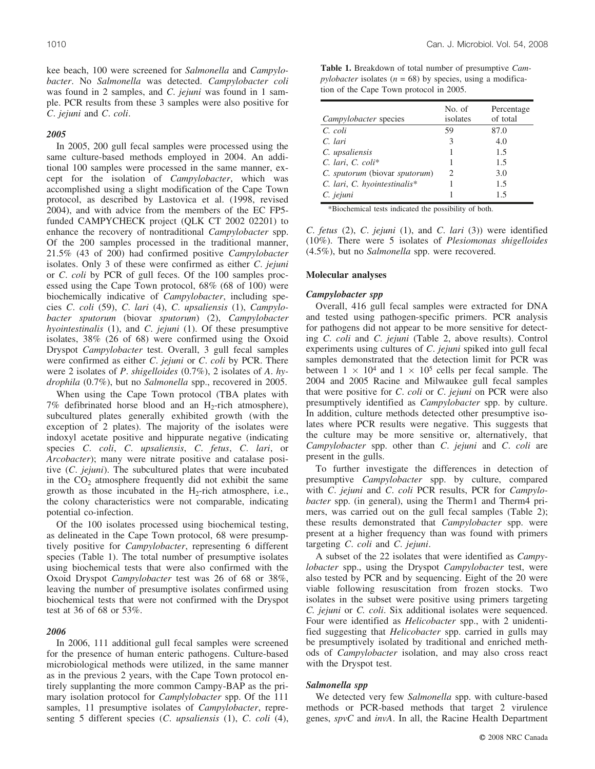kee beach, 100 were screened for *Salmonella* and *Campylobacter*. No *Salmonella* was detected. *Campylobacter coli* was found in 2 samples, and *C*. *jejuni* was found in 1 sample. PCR results from these 3 samples were also positive for *C*. *jejuni* and *C*. *coli*.

#### *2005*

In 2005, 200 gull fecal samples were processed using the same culture-based methods employed in 2004. An additional 100 samples were processed in the same manner, except for the isolation of *Campylobacter*, which was accomplished using a slight modification of the Cape Town protocol, as described by Lastovica et al. (1998, revised 2004), and with advice from the members of the EC FP5 funded CAMPYCHECK project (QLK CT 2002 02201) to enhance the recovery of nontraditional *Campylobacter* spp. Of the 200 samples processed in the traditional manner, 21.5% (43 of 200) had confirmed positive *Campylobacter* isolates. Only 3 of these were confirmed as either *C*. *jejuni* or *C*. *coli* by PCR of gull feces. Of the 100 samples processed using the Cape Town protocol, 68% (68 of 100) were biochemically indicative of *Campylobacter*, including species *C*. *coli* (59), *C*. *lari* (4), *C*. *upsaliensis* (1), *Campylobacter sputorum* (biovar *sputorum*) (2), *Campylobacter hyointestinalis* (1), and *C*. *jejuni* (1). Of these presumptive isolates, 38% (26 of 68) were confirmed using the Oxoid Dryspot *Campylobacter* test. Overall, 3 gull fecal samples were confirmed as either *C*. *jejuni* or *C*. *coli* by PCR. There were 2 isolates of *P*. *shigelloides* (0.7%), 2 isolates of *A*. *hydrophila* (0.7%), but no *Salmonella* spp., recovered in 2005.

When using the Cape Town protocol (TBA plates with 7% defibrinated horse blood and an  $H_2$ -rich atmosphere), subcultured plates generally exhibited growth (with the exception of 2 plates). The majority of the isolates were indoxyl acetate positive and hippurate negative (indicating species *C*. *coli*, *C*. *upsaliensis*, *C*. *fetus*, *C*. *lari*, or *Arcobacter*); many were nitrate positive and catalase positive (*C*. *jejuni*). The subcultured plates that were incubated in the  $CO<sub>2</sub>$  atmosphere frequently did not exhibit the same growth as those incubated in the  $H_2$ -rich atmosphere, i.e., the colony characteristics were not comparable, indicating potential co-infection.

Of the 100 isolates processed using biochemical testing, as delineated in the Cape Town protocol, 68 were presumptively positive for *Campylobacter*, representing 6 different species (Table 1). The total number of presumptive isolates using biochemical tests that were also confirmed with the Oxoid Dryspot *Campylobacter* test was 26 of 68 or 38%, leaving the number of presumptive isolates confirmed using biochemical tests that were not confirmed with the Dryspot test at 36 of 68 or 53%.

#### *2006*

In 2006, 111 additional gull fecal samples were screened for the presence of human enteric pathogens. Culture-based microbiological methods were utilized, in the same manner as in the previous 2 years, with the Cape Town protocol entirely supplanting the more common Campy-BAP as the primary isolation protocol for *Camplylobacter* spp. Of the 111 samples, 11 presumptive isolates of *Campylobacter*, representing 5 different species (*C*. *upsaliensis* (1), *C*. *coli* (4),

**Table 1.** Breakdown of total number of presumptive *Cam* $p$ *ylobacter* isolates ( $n = 68$ ) by species, using a modification of the Cape Town protocol in 2005.

| Campylobacter species          | No. of<br>isolates | Percentage<br>of total |
|--------------------------------|--------------------|------------------------|
| C. coli                        | 59                 | 87.0                   |
| C. lari                        | 3                  | 4.0                    |
| C. upsaliensis                 |                    | 1.5                    |
| $C.$ lari, $C.$ $\text{coli*}$ |                    | 1.5                    |
| C. sputorum (biovar sputorum)  | 2                  | 3.0                    |
| C. lari, C. hyointestinalis*   |                    | 1.5                    |
| C. jejuni                      |                    | 15                     |

\*Biochemical tests indicated the possibility of both.

*C*. *fetus* (2), *C*. *jejuni* (1), and *C*. *lari* (3)) were identified (10%). There were 5 isolates of *Plesiomonas shigelloides* (4.5%), but no *Salmonella* spp. were recovered.

#### **Molecular analyses**

#### *Campylobacter spp*

Overall, 416 gull fecal samples were extracted for DNA and tested using pathogen-specific primers. PCR analysis for pathogens did not appear to be more sensitive for detecting *C*. *coli* and *C*. *jejuni* (Table 2, above results). Control experiments using cultures of *C*. *jejuni* spiked into gull fecal samples demonstrated that the detection limit for PCR was between  $1 \times 10^4$  and  $1 \times 10^5$  cells per fecal sample. The 2004 and 2005 Racine and Milwaukee gull fecal samples that were positive for *C*. *coli* or *C*. *jejuni* on PCR were also presumptively identified as *Campylobacter* spp. by culture. In addition, culture methods detected other presumptive isolates where PCR results were negative. This suggests that the culture may be more sensitive or, alternatively, that *Campylobacter* spp. other than *C*. *jejuni* and *C*. *coli* are present in the gulls.

To further investigate the differences in detection of presumptive *Campylobacter* spp. by culture, compared with *C*. *jejuni* and *C*. *coli* PCR results, PCR for *Campylobacter* spp. (in general), using the Therm1 and Therm4 primers, was carried out on the gull fecal samples (Table 2); these results demonstrated that *Campylobacter* spp. were present at a higher frequency than was found with primers targeting *C*. *coli* and *C*. *jejuni*.

A subset of the 22 isolates that were identified as *Campylobacter* spp., using the Dryspot *Campylobacter* test, were also tested by PCR and by sequencing. Eight of the 20 were viable following resuscitation from frozen stocks. Two isolates in the subset were positive using primers targeting *C. jejuni* or *C. coli*. Six additional isolates were sequenced. Four were identified as *Helicobacter* spp., with 2 unidentified suggesting that *Helicobacter* spp. carried in gulls may be presumptively isolated by traditional and enriched methods of *Campylobacter* isolation, and may also cross react with the Dryspot test.

#### *Salmonella spp*

We detected very few *Salmonella* spp. with culture-based methods or PCR-based methods that target 2 virulence genes, *spvC* and *invA*. In all, the Racine Health Department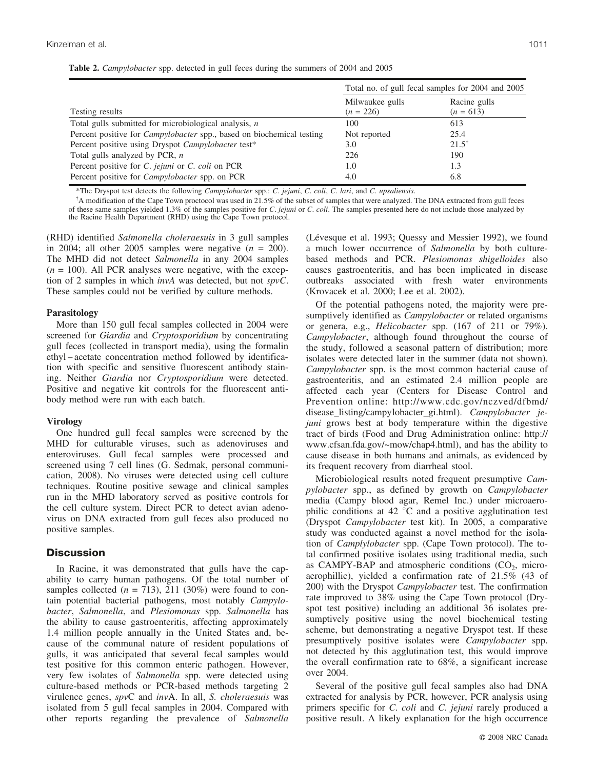|  |  |  |  |  | Table 2. Campylobacter spp. detected in gull feces during the summers of 2004 and 2005 |
|--|--|--|--|--|----------------------------------------------------------------------------------------|
|--|--|--|--|--|----------------------------------------------------------------------------------------|

|                                                                              | Total no. of gull fecal samples for 2004 and 2005 |                             |  |
|------------------------------------------------------------------------------|---------------------------------------------------|-----------------------------|--|
| Testing results                                                              | Milwaukee gulls<br>$(n = 226)$                    | Racine gulls<br>$(n = 613)$ |  |
| Total gulls submitted for microbiological analysis, $n$                      | 100                                               | 613                         |  |
| Percent positive for <i>Campylobacter</i> spp., based on biochemical testing | Not reported                                      | 25.4                        |  |
| Percent positive using Dryspot Campylobacter test*                           | 3.0                                               | $21.5^{\dagger}$            |  |
| Total gulls analyzed by PCR, $n$                                             | 226                                               | 190                         |  |
| Percent positive for C. jejuni or C. coli on PCR                             | 1.0                                               | 1.3                         |  |
| Percent positive for <i>Campylobacter</i> spp. on PCR                        | 4.0                                               | 6.8                         |  |

\*The Dryspot test detects the following *Campylobacter* spp.: *C*. *jejuni*, *C*. *coli*, *C*. *lari*, and *C*. *upsaliensis*.

{ A modification of the Cape Town proctocol was used in 21.5% of the subset of samples that were analyzed. The DNA extracted from gull feces of these same samples yielded 1.3% of the samples positive for *C*. *jejuni* or *C*. *coli*. The samples presented here do not include those analyzed by the Racine Health Department (RHD) using the Cape Town protocol.

(RHD) identified *Salmonella choleraesuis* in 3 gull samples in 2004; all other 2005 samples were negative  $(n = 200)$ . The MHD did not detect *Salmonella* in any 2004 samples  $(n = 100)$ . All PCR analyses were negative, with the exception of 2 samples in which *invA* was detected, but not *spvC*. These samples could not be verified by culture methods.

#### **Parasitology**

More than 150 gull fecal samples collected in 2004 were screened for *Giardia* and *Cryptosporidium* by concentrating gull feces (collected in transport media), using the formalin ethyl – acetate concentration method followed by identification with specific and sensitive fluorescent antibody staining. Neither *Giardia* nor *Cryptosporidium* were detected. Positive and negative kit controls for the fluorescent antibody method were run with each batch.

#### **Virology**

One hundred gull fecal samples were screened by the MHD for culturable viruses, such as adenoviruses and enteroviruses. Gull fecal samples were processed and screened using 7 cell lines (G. Sedmak, personal communication, 2008). No viruses were detected using cell culture techniques. Routine positive sewage and clinical samples run in the MHD laboratory served as positive controls for the cell culture system. Direct PCR to detect avian adenovirus on DNA extracted from gull feces also produced no positive samples.

## **Discussion**

In Racine, it was demonstrated that gulls have the capability to carry human pathogens. Of the total number of samples collected  $(n = 713)$ , 211 (30%) were found to contain potential bacterial pathogens, most notably *Campylobacter*, *Salmonella*, and *Plesiomonas* spp. *Salmonella* has the ability to cause gastroenteritis, affecting approximately 1.4 million people annually in the United States and, because of the communal nature of resident populations of gulls, it was anticipated that several fecal samples would test positive for this common enteric pathogen. However, very few isolates of *Salmonella* spp. were detected using culture-based methods or PCR-based methods targeting 2 virulence genes, *spv*C and *inv*A. In all, *S. choleraesuis* was isolated from 5 gull fecal samples in 2004. Compared with other reports regarding the prevalence of *Salmonella*

(Lévesque et al. 1993; Quessy and Messier 1992), we found a much lower occurrence of *Salmonella* by both culturebased methods and PCR. *Plesiomonas shigelloides* also causes gastroenteritis, and has been implicated in disease outbreaks associated with fresh water environments (Krovacek et al. 2000; Lee et al. 2002).

Of the potential pathogens noted, the majority were presumptively identified as *Campylobacter* or related organisms or genera, e.g., *Helicobacter* spp. (167 of 211 or 79%). *Campylobacter*, although found throughout the course of the study, followed a seasonal pattern of distribution; more isolates were detected later in the summer (data not shown). *Campylobacter* spp. is the most common bacterial cause of gastroenteritis, and an estimated 2.4 million people are affected each year (Centers for Disease Control and Prevention online: http://www.cdc.gov/nczved/dfbmd/ disease\_listing/campylobacter\_gi.html). *Campylobacter jejuni* grows best at body temperature within the digestive tract of birds (Food and Drug Administration online: http:// www.cfsan.fda.gov/~mow/chap4.html), and has the ability to cause disease in both humans and animals, as evidenced by its frequent recovery from diarrheal stool.

Microbiological results noted frequent presumptive *Campylobacter* spp., as defined by growth on *Campylobacter* media (Campy blood agar, Remel Inc.) under microaerophilic conditions at 42 $\degree$ C and a positive agglutination test (Dryspot *Campylobacter* test kit). In 2005, a comparative study was conducted against a novel method for the isolation of *Camplylobacter* spp. (Cape Town protocol). The total confirmed positive isolates using traditional media, such as CAMPY-BAP and atmospheric conditions  $(CO<sub>2</sub>)$ , microaerophillic), yielded a confirmation rate of 21.5% (43 of 200) with the Dryspot *Campylobacter* test. The confirmation rate improved to 38% using the Cape Town protocol (Dryspot test positive) including an additional 36 isolates presumptively positive using the novel biochemical testing scheme, but demonstrating a negative Dryspot test. If these presumptively positive isolates were *Campylobacter* spp. not detected by this agglutination test, this would improve the overall confirmation rate to 68%, a significant increase over 2004.

Several of the positive gull fecal samples also had DNA extracted for analysis by PCR, however, PCR analysis using primers specific for *C*. *coli* and *C*. *jejuni* rarely produced a positive result. A likely explanation for the high occurrence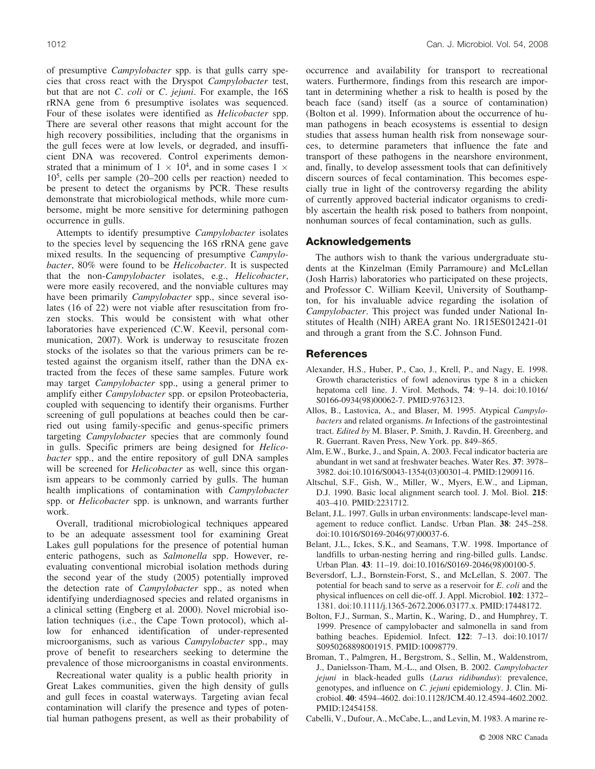of presumptive *Campylobacter* spp. is that gulls carry species that cross react with the Dryspot *Campylobacter* test, but that are not *C*. *coli* or *C*. *jejuni*. For example, the 16S rRNA gene from 6 presumptive isolates was sequenced. Four of these isolates were identified as *Helicobacter* spp. There are several other reasons that might account for the high recovery possibilities, including that the organisms in the gull feces were at low levels, or degraded, and insufficient DNA was recovered. Control experiments demonstrated that a minimum of  $1 \times 10^4$ , and in some cases  $1 \times$ 105, cells per sample (20–200 cells per reaction) needed to be present to detect the organisms by PCR. These results demonstrate that microbiological methods, while more cumbersome, might be more sensitive for determining pathogen occurrence in gulls.

Attempts to identify presumptive *Campylobacter* isolates to the species level by sequencing the 16S rRNA gene gave mixed results. In the sequencing of presumptive *Campylobacter*, 80% were found to be *Helicobacter*. It is suspected that the non-*Campylobacter* isolates, e.g., *Helicobacter*, were more easily recovered, and the nonviable cultures may have been primarily *Campylobacter* spp., since several isolates (16 of 22) were not viable after resuscitation from frozen stocks. This would be consistent with what other laboratories have experienced (C.W. Keevil, personal communication, 2007). Work is underway to resuscitate frozen stocks of the isolates so that the various primers can be retested against the organism itself, rather than the DNA extracted from the feces of these same samples. Future work may target *Campylobacter* spp., using a general primer to amplify either *Campylobacter* spp. or epsilon Proteobacteria, coupled with sequencing to identify their organisms. Further screening of gull populations at beaches could then be carried out using family-specific and genus-specific primers targeting *Campylobacter* species that are commonly found in gulls. Specific primers are being designed for *Helicobacter* spp., and the entire repository of gull DNA samples will be screened for *Helicobacter* as well, since this organism appears to be commonly carried by gulls. The human health implications of contamination with *Campylobacter* spp. or *Helicobacter* spp. is unknown, and warrants further work.

Overall, traditional microbiological techniques appeared to be an adequate assessment tool for examining Great Lakes gull populations for the presence of potential human enteric pathogens, such as *Salmonella* spp. However, reevaluating conventional microbial isolation methods during the second year of the study (2005) potentially improved the detection rate of *Campylobacter* spp., as noted when identifying underdiagnosed species and related organisms in a clinical setting (Engberg et al. 2000). Novel microbial isolation techniques (i.e., the Cape Town protocol), which allow for enhanced identification of under-represented microorganisms, such as various *Campylobacter* spp., may prove of benefit to researchers seeking to determine the prevalence of those microorganisms in coastal environments.

Recreational water quality is a public health priority in Great Lakes communities, given the high density of gulls and gull feces in coastal waterways. Targeting avian fecal contamination will clarify the presence and types of potential human pathogens present, as well as their probability of occurrence and availability for transport to recreational waters. Furthermore, findings from this research are important in determining whether a risk to health is posed by the beach face (sand) itself (as a source of contamination) (Bolton et al. 1999). Information about the occurrence of human pathogens in beach ecosystems is essential to design studies that assess human health risk from nonsewage sources, to determine parameters that influence the fate and transport of these pathogens in the nearshore environment, and, finally, to develop assessment tools that can definitively discern sources of fecal contamination. This becomes especially true in light of the controversy regarding the ability of currently approved bacterial indicator organisms to credibly ascertain the health risk posed to bathers from nonpoint, nonhuman sources of fecal contamination, such as gulls.

#### **Acknowledgements**

The authors wish to thank the various undergraduate students at the Kinzelman (Emily Parramoure) and McLellan (Josh Harris) laboratories who participated on these projects, and Professor C. William Keevil, University of Southampton, for his invaluable advice regarding the isolation of *Campylobacter*. This project was funded under National Institutes of Health (NIH) AREA grant No. 1R15ES012421-01 and through a grant from the S.C. Johnson Fund.

### **References**

- Alexander, H.S., Huber, P., Cao, J., Krell, P., and Nagy, E. 1998. Growth characteristics of fowl adenovirus type 8 in a chicken hepatoma cell line. J. Virol. Methods, **74**: 9–14. doi:10.1016/ S0166-0934(98)00062-7. PMID:9763123.
- Allos, B., Lastovica, A., and Blaser, M. 1995. Atypical *Campylobacters* and related organisms. *In* Infections of the gastrointestinal tract. *Edited by* M. Blaser, P. Smith, J. Ravdin, H. Greenberg, and R. Guerrant. Raven Press, New York. pp. 849–865.
- Alm, E.W., Burke, J., and Spain, A. 2003. Fecal indicator bacteria are abundant in wet sand at freshwater beaches. Water Res. **37**: 3978– 3982. doi:10.1016/S0043-1354(03)00301-4. PMID:12909116.
- Altschul, S.F., Gish, W., Miller, W., Myers, E.W., and Lipman, D.J. 1990. Basic local alignment search tool. J. Mol. Biol. **215**: 403–410. PMID:2231712.
- Belant, J.L. 1997. Gulls in urban environments: landscape-level management to reduce conflict. Landsc. Urban Plan. **38**: 245–258. doi:10.1016/S0169-2046(97)00037-6.
- Belant, J.L., Ickes, S.K., and Seamans, T.W. 1998. Importance of landfills to urban-nesting herring and ring-billed gulls. Landsc. Urban Plan. **43**: 11–19. doi:10.1016/S0169-2046(98)00100-5.
- Beversdorf, L.J., Bornstein-Forst, S., and McLellan, S. 2007. The potential for beach sand to serve as a reservoir for *E*. *coli* and the physical influences on cell die-off. J. Appl. Microbiol. **102**: 1372– 1381. doi:10.1111/j.1365-2672.2006.03177.x. PMID:17448172.
- Bolton, F.J., Surman, S., Martin, K., Waring, D., and Humphrey, T. 1999. Presence of campylobacter and salmonella in sand from bathing beaches. Epidemiol. Infect. **122**: 7–13. doi:10.1017/ S0950268898001915. PMID:10098779.
- Broman, T., Palmgren, H., Bergstrom, S., Sellin, M., Waldenstrom, J., Danielsson-Tham, M.-L., and Olsen, B. 2002. *Campylobacter jejuni* in black-headed gulls (*Larus ridibundus*): prevalence, genotypes, and influence on *C*. *jejuni* epidemiology. J. Clin. Microbiol. **40**: 4594–4602. doi:10.1128/JCM.40.12.4594-4602.2002. PMID:12454158.
- Cabelli, V., Dufour, A., McCabe, L., and Levin, M. 1983. A marine re-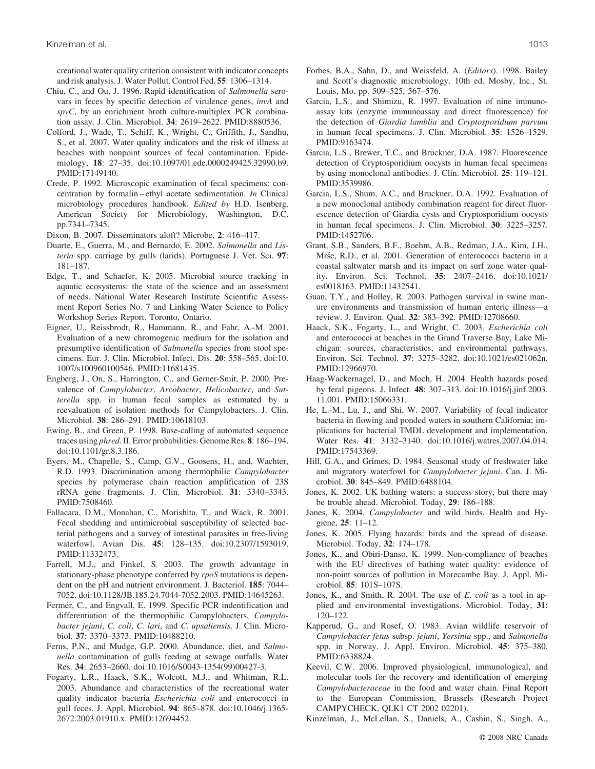creational water quality criterion consistent with indicator concepts and risk analysis. J. Water Pollut. Control Fed. **55**: 1306–1314.

- Chiu, C., and Ou, J. 1996. Rapid identification of *Salmonella* serovars in feces by specific detection of virulence genes, *invA* and *spvC*, by an enrichment broth culture-multiplex PCR combination assay. J. Clin. Microbiol. **34**: 2619–2622. PMID:8880536.
- Colford, J., Wade, T., Schiff, K., Wright, C., Griffith, J., Sandhu, S., et al. 2007. Water quality indicators and the risk of illness at beaches with nonpoint sources of fecal contamination. Epidemiology, **18**: 27–35. doi:10.1097/01.ede.0000249425.32990.b9. PMID:17149140.
- Crede, P. 1992. Microscopic examination of fecal specimens: concentration by formalin – ethyl acetate sedimentation. *In* Clinical microbiology procedures handbook. *Edited by* H.D. Isenberg. American Society for Microbiology, Washington, D.C. pp.7341–7345.
- Dixon, B. 2007. Disseminators aloft? Microbe, **2**: 416–417.
- Duarte, E., Guerra, M., and Bernardo, E. 2002. *Salmonella* and *Listeria* spp. carriage by gulls (larids). Portuguese J. Vet. Sci. **97**: 181–187.
- Edge, T., and Schaefer, K. 2005. Microbial source tracking in aquatic ecosystems: the state of the science and an assessment of needs. National Water Research Institute Scientific Assessment Report Series No. 7 and Linking Water Science to Policy Workshop Series Report. Toronto, Ontario.
- Eigner, U., Reissbrodt, R., Hammann, R., and Fahr, A.-M. 2001. Evaluation of a new chromogenic medium for the isolation and presumptive identification of *Salmonella* species from stool specimens. Eur. J. Clin. Microbiol. Infect. Dis. **20**: 558–565. doi:10. 1007/s100960100546. PMID:11681435.
- Engberg, J., On, S., Harrington, C., and Gerner-Smit, P. 2000. Prevalence of *Campylobacter*, *Arcobacter*, *Helicobacter*, and *Sutterella* spp. in human fecal samples as estimated by a reevaluation of isolation methods for Campylobacters. J. Clin. Microbiol. **38**: 286–291. PMID:10618103.
- Ewing, B., and Green, P. 1998. Base-calling of automated sequence traces using *phred*. II. Error probabilities. Genome Res. **8**: 186–194. doi:10.1101/gr.8.3.186.
- Eyers, M., Chapelle, S., Camp, G.V., Goosens, H., and, Wachter, R.D. 1993. Discrimination among thermophilic *Campylobacter* species by polymerase chain reaction amplification of 23S rRNA gene fragments. J. Clin. Microbiol. **31**: 3340–3343. PMID:7508460.
- Fallacara, D.M., Monahan, C., Morishita, T., and Wack, R. 2001. Fecal shedding and antimicrobial susceptibility of selected bacterial pathogens and a survey of intestinal parasites in free-living waterfowl. Avian Dis. **45**: 128–135. doi:10.2307/1593019. PMID:11332473.
- Farrell, M.J., and Finkel, S. 2003. The growth advantage in stationary-phase phenotype conferred by *rpoS* mutations is dependent on the pH and nutrient environment. J. Bacteriol. **185**: 7044– 7052. doi:10.1128/JB.185.24.7044-7052.2003. PMID:14645263.
- Fermér, C., and Engvall, E. 1999. Specific PCR indentification and differentiation of the thermophilic Campylobacters, *Campylobacter jejuni*, *C. coli*, *C. lari*, and *C. upsaliensis*. J. Clin. Microbiol. **37**: 3370–3373. PMID:10488210.
- Ferns, P.N., and Mudge, G.P. 2000. Abundance, diet, and *Salmonella* contamination of gulls feeding at sewage outfalls. Water Res. **34**: 2653–2660. doi:10.1016/S0043-1354(99)00427-3.
- Fogarty, L.R., Haack, S.K., Wolcott, M.J., and Whitman, R.L. 2003. Abundance and characteristics of the recreational water quality indicator bacteria *Escherichia coli* and enterococci in gull feces. J. Appl. Microbiol. **94**: 865–878. doi:10.1046/j.1365- 2672.2003.01910.x. PMID:12694452.
- Forbes, B.A., Sahn, D., and Weissfeld, A. (*Editors*). 1998. Bailey and Scott's diagnostic microbiology. 10th ed. Mosby, Inc., St. Louis, Mo. pp. 509–525, 567–576.
- Garcia, L.S., and Shimizu, R. 1997. Evaluation of nine immunoassay kits (enzyme immunoassay and direct fluorescence) for the detection of *Giardia lamblia* and *Cryptosporidium parvum* in human fecal specimens. J. Clin. Microbiol. **35**: 1526–1529. PMID:9163474.
- Garcia, L.S., Brewer, T.C., and Bruckner, D.A. 1987. Fluorescence detection of Cryptosporidium oocysts in human fecal specimens by using monoclonal antibodies. J. Clin. Microbiol. **25**: 119–121. PMID:3539986.
- Garcia, L.S., Shum, A.C., and Bruckner, D.A. 1992. Evaluation of a new monoclonal antibody combination reagent for direct fluorescence detection of Giardia cysts and Cryptosporidium oocysts in human fecal specimens. J. Clin. Microbiol. **30**: 3225–3257. PMID:1452706.
- Grant, S.B., Sanders, B.F., Boehm, A.B., Redman, J.A., Kim, J.H., Mrše, R.D., et al. 2001. Generation of enterococci bacteria in a coastal saltwater marsh and its impact on surf zone water quality. Environ. Sci. Technol. **35**: 2407–2416. doi:10.1021/ es0018163. PMID:11432541.
- Guan, T.Y., and Holley, R. 2003. Pathogen survival in swine manure environments and transmission of human enteric illness—a review. J. Environ. Qual. **32**: 383–392. PMID:12708660.
- Haack, S.K., Fogarty, L., and Wright, C. 2003. *Escherichia coli* and enterococci at beaches in the Grand Traverse Bay, Lake Michigan: sources, characteristics, and environmental pathways. Environ. Sci. Technol. **37**: 3275–3282. doi:10.1021/es021062n. PMID:12966970.
- Haag-Wackernagel, D., and Moch, H. 2004. Health hazards posed by feral pigeons. J. Infect. **48**: 307–313. doi:10.1016/j.jinf.2003. 11.001. PMID:15066331.
- He, L.-M., Lu, J., and Shi, W. 2007. Variability of fecal indicator bacteria in flowing and ponded waters in southern California; implications for bacterial TMDL development and implementation. Water Res. **41**: 3132–3140. doi:10.1016/j.watres.2007.04.014. PMID:17543369.
- Hill, G.A., and Grimes, D. 1984. Seasonal study of freshwater lake and migratory waterfowl for *Campylobacter jejuni*. Can. J. Microbiol. **30**: 845–849. PMID:6488104.
- Jones, K. 2002. UK bathing waters: a success story, but there may be trouble ahead. Microbiol. Today, **29**: 186–188.
- Jones, K. 2004. *Campylobacter* and wild birds. Health and Hygiene, **25**: 11–12.
- Jones, K. 2005. Flying hazards: birds and the spread of disease. Microbiol. Today, **32**: 174–178.
- Jones, K., and Obiri-Danso, K. 1999. Non-compliance of beaches with the EU directives of bathing water quality: evidence of non-point sources of pollution in Morecambe Bay. J. Appl. Microbiol. **85**: 101S–107S.
- Jones, K., and Smith, R. 2004. The use of *E*. *coli* as a tool in applied and environmental investigations. Microbiol. Today, **31**: 120–122.
- Kapperud, G., and Rosef, O. 1983. Avian wildlife reservoir of *Campylobacter fetus* subsp. *jejuni*, *Yersinia* spp., and *Salmonella* spp. in Norway. J. Appl. Environ. Microbiol. **45**: 375–380. PMID:6338824.
- Keevil, C.W. 2006. Improved physiological, immunological, and molecular tools for the recovery and identification of emerging *Campylobacteraceae* in the food and water chain. Final Report to the European Commission, Brussels (Research Project CAMPYCHECK, QLK1 CT 2002 02201).
- Kinzelman, J., McLellan, S., Daniels, A., Cashin, S., Singh, A.,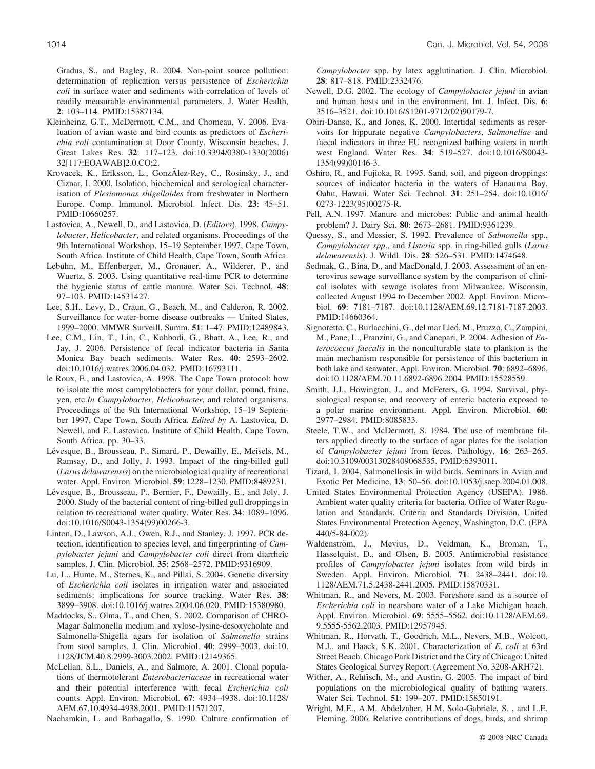Gradus, S., and Bagley, R. 2004. Non-point source pollution: determination of replication versus persistence of *Escherichia coli* in surface water and sediments with correlation of levels of readily measurable environmental parameters. J. Water Health, **2**: 103–114. PMID:15387134.

- Kleinheinz, G.T., McDermott, C.M., and Chomeau, V. 2006. Evaluation of avian waste and bird counts as predictors of *Escherichia coli* contamination at Door County, Wisconsin beaches. J. Great Lakes Res. **32**: 117–123. doi:10.3394/0380-1330(2006) 32[117:EOAWAB]2.0.CO;2.
- Krovacek, K., Eriksson, L., GonzÃlez-Rey, C., Rosinsky, J., and Ciznar, I. 2000. Isolation, biochemical and serological characterisation of *Plesiomonas shigelloides* from freshwater in Northern Europe. Comp. Immunol. Microbiol. Infect. Dis. **23**: 45–51. PMID:10660257.
- Lastovica, A., Newell, D., and Lastovica, D. (*Editors*). 1998. *Campylobacter*, *Helicobacter*, and related organisms. Proceedings of the 9th International Workshop, 15–19 September 1997, Cape Town, South Africa. Institute of Child Health, Cape Town, South Africa.
- Lebuhn, M., Effenberger, M., Gronauer, A., Wilderer, P., and Wuertz, S. 2003. Using quantitative real-time PCR to determine the hygienic status of cattle manure. Water Sci. Technol. **48**: 97–103. PMID:14531427.
- Lee, S.H., Levy, D., Craun, G., Beach, M., and Calderon, R. 2002. Surveillance for water-borne disease outbreaks — United States, 1999–2000. MMWR Surveill. Summ. **51**: 1–47. PMID:12489843.
- Lee, C.M., Lin, T., Lin, C., Kohbodi, G., Bhatt, A., Lee, R., and Jay, J. 2006. Persistence of fecal indicator bacteria in Santa Monica Bay beach sediments. Water Res. **40**: 2593–2602. doi:10.1016/j.watres.2006.04.032. PMID:16793111.
- le Roux, E., and Lastovica, A. 1998. The Cape Town protocol: how to isolate the most campylobacters for your dollar, pound, franc, yen, etc.*In Campylobacter*, *Helicobacter*, and related organisms. Proceedings of the 9th International Workshop, 15–19 September 1997, Cape Town, South Africa. *Edited by* A. Lastovica, D. Newell, and E. Lastovica. Institute of Child Health, Cape Town, South Africa. pp. 30–33.
- Lévesque, B., Brousseau, P., Simard, P., Dewailly, E., Meisels, M., Ramsay, D., and Jolly, J. 1993. Impact of the ring-billed gull (*Larus delawarensis*) on the microbiological quality of recreational water. Appl. Environ. Microbiol. **59**: 1228–1230. PMID:8489231.
- Lévesque, B., Brousseau, P., Bernier, F., Dewailly, E., and Joly, J. 2000. Study of the bacterial content of ring-billed gull droppings in relation to recreational water quality. Water Res. **34**: 1089–1096. doi:10.1016/S0043-1354(99)00266-3.
- Linton, D., Lawson, A.J., Owen, R.J., and Stanley, J. 1997. PCR detection, identification to species level, and fingerprinting of *Campylobacter jejuni* and *Campylobacter coli* direct from diarrheic samples. J. Clin. Microbiol. **35**: 2568–2572. PMID:9316909.
- Lu, L., Hume, M., Sternes, K., and Pillai, S. 2004. Genetic diversity of *Escherichia coli* isolates in irrigation water and associated sediments: implications for source tracking. Water Res. **38**: 3899–3908. doi:10.1016/j.watres.2004.06.020. PMID:15380980.
- Maddocks, S., Olma, T., and Chen, S. 2002. Comparison of CHRO-Magar Salmonella medium and xylose-lysine-desoxycholate and Salmonella-Shigella agars for isolation of *Salmonella* strains from stool samples. J. Clin. Microbiol. **40**: 2999–3003. doi:10. 1128/JCM.40.8.2999-3003.2002. PMID:12149365.
- McLellan, S.L., Daniels, A., and Salmore, A. 2001. Clonal populations of thermotolerant *Enterobacteriaceae* in recreational water and their potential interference with fecal *Escherichia coli* counts. Appl. Environ. Microbiol. **67**: 4934–4938. doi:10.1128/ AEM.67.10.4934-4938.2001. PMID:11571207.

Nachamkin, I., and Barbagallo, S. 1990. Culture confirmation of

*Campylobacter* spp. by latex agglutination. J. Clin. Microbiol. **28**: 817–818. PMID:2332476.

- Newell, D.G. 2002. The ecology of *Campylobacter jejuni* in avian and human hosts and in the environment. Int. J. Infect. Dis. **6**: 3516–3521. doi:10.1016/S1201-9712(02)90179-7.
- Obiri-Danso, K., and Jones, K. 2000. Intertidal sediments as reservoirs for hippurate negative *Campylobacters*, *Salmonellae* and faecal indicators in three EU recognized bathing waters in north west England. Water Res. **34**: 519–527. doi:10.1016/S0043- 1354(99)00146-3.
- Oshiro, R., and Fujioka, R. 1995. Sand, soil, and pigeon droppings: sources of indicator bacteria in the waters of Hanauma Bay, Oahu, Hawaii. Water Sci. Technol. **31**: 251–254. doi:10.1016/ 0273-1223(95)00275-R.
- Pell, A.N. 1997. Manure and microbes: Public and animal health problem? J. Dairy Sci. **80**: 2673–2681. PMID:9361239.
- Quessy, S., and Messier, S. 1992. Prevalence of *Salmonella* spp., *Campylobacter spp*., and *Listeria* spp. in ring-billed gulls (*Larus delawarensis*). J. Wildl. Dis. **28**: 526–531. PMID:1474648.
- Sedmak, G., Bina, D., and MacDonald, J. 2003. Assessment of an enterovirus sewage surveillance system by the comparison of clinical isolates with sewage isolates from Milwaukee, Wisconsin, collected August 1994 to December 2002. Appl. Environ. Microbiol. **69**: 7181–7187. doi:10.1128/AEM.69.12.7181-7187.2003. PMID:14660364.
- Signoretto, C., Burlacchini, G., del mar Lleó, M., Pruzzo, C., Zampini, M., Pane, L., Franzini, G., and Canepari, P. 2004. Adhesion of *Enterococcus faecalis* in the nonculturable state to plankton is the main mechanism responsible for persistence of this bacterium in both lake and seawater. Appl. Environ. Microbiol. **70**: 6892–6896. doi:10.1128/AEM.70.11.6892-6896.2004. PMID:15528559.
- Smith, J.J., Howington, J., and McFeters, G. 1994. Survival, physiological response, and recovery of enteric bacteria exposed to a polar marine environment. Appl. Environ. Microbiol. **60**: 2977–2984. PMID:8085833.
- Steele, T.W., and McDermott, S. 1984. The use of membrane filters applied directly to the surface of agar plates for the isolation of *Campylobacter jejuni* from feces. Pathology, **16**: 263–265. doi:10.3109/00313028409068535. PMID:6393011.
- Tizard, I. 2004. Salmonellosis in wild birds. Seminars in Avian and Exotic Pet Medicine, **13**: 50–56. doi:10.1053/j.saep.2004.01.008.
- United States Environmental Protection Agency (USEPA). 1986. Ambient water quality criteria for bacteria. Office of Water Regulation and Standards, Criteria and Standards Division, United States Environmental Protection Agency, Washington, D.C. (EPA 440/5-84-002).
- Waldenström, J., Mevius, D., Veldman, K., Broman, T., Hasselquist, D., and Olsen, B. 2005. Antimicrobial resistance profiles of *Campylobacter jejuni* isolates from wild birds in Sweden. Appl. Environ. Microbiol. **71**: 2438–2441. doi:10. 1128/AEM.71.5.2438-2441.2005. PMID:15870331.
- Whitman, R., and Nevers, M. 2003. Foreshore sand as a source of *Escherichia coli* in nearshore water of a Lake Michigan beach. Appl. Environ. Microbiol. **69**: 5555–5562. doi:10.1128/AEM.69. 9.5555-5562.2003. PMID:12957945.
- Whitman, R., Horvath, T., Goodrich, M.L., Nevers, M.B., Wolcott, M.J., and Haack, S.K. 2001. Characterization of *E*. *coli* at 63rd Street Beach. Chicago Park District and the City of Chicago: United States Geological Survey Report. (Agreement No. 3208-ARH72).
- Wither, A., Rehfisch, M., and Austin, G. 2005. The impact of bird populations on the microbiological quality of bathing waters. Water Sci. Technol. **51**: 199–207. PMID:15850191.
- Wright, M.E., A.M. Abdelzaher, H.M. Solo-Gabriele, S. , and L.E. Fleming. 2006. Relative contributions of dogs, birds, and shrimp